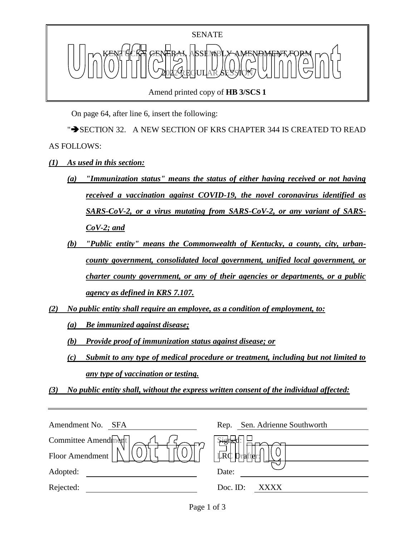

Amend printed copy of **HB 3/SCS 1**

On page 64, after line 6, insert the following:

">SECTION 32. A NEW SECTION OF KRS CHAPTER 344 IS CREATED TO READ AS FOLLOWS:

- *(1) As used in this section:*
	- *(a) "Immunization status" means the status of either having received or not having received a vaccination against COVID-19, the novel coronavirus identified as SARS-CoV-2, or a virus mutating from SARS-CoV-2, or any variant of SARS-CoV-2; and*
	- *(b) "Public entity" means the Commonwealth of Kentucky, a county, city, urbancounty government, consolidated local government, unified local government, or charter county government, or any of their agencies or departments, or a public agency as defined in KRS 7.107.*
- *(2) No public entity shall require an employee, as a condition of employment, to:*

*(a) Be immunized against disease;*

*(b) Provide proof of immunization status against disease; or*

*(c) Submit to any type of medical procedure or treatment, including but not limited to any type of vaccination or testing.*

*(3) No public entity shall, without the express written consent of the individual affected:*

| Amendment No.<br>SFA | Sen. Adrienne Southworth<br>Rep. |
|----------------------|----------------------------------|
| Committee Amendment  |                                  |
| Floor Amendment      | LRC                              |
| Adopted:             | Date:                            |
| Rejected:            | Doc. ID:<br>XXXX                 |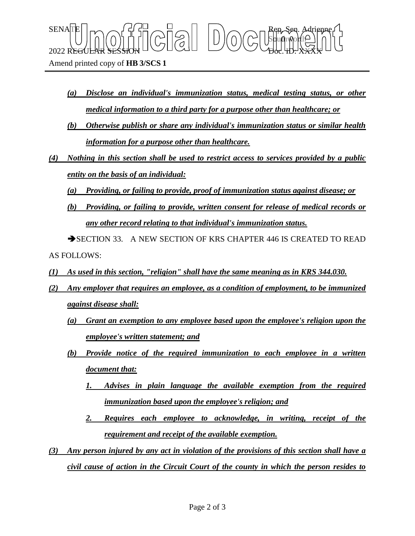Amend printed copy of **HB 3/SCS 1**

*(a) Disclose an individual's immunization status, medical testing status, or other medical information to a third party for a purpose other than healthcare; or*

Sbufhworth

 $\text{SENA}[\mathbb{E} | \mid_{\mathsf{T}} \frown \bigcap_{\mathsf{S}} \mathsf{G}] \frown \bigcup_{\mathsf{S}} \bigcap_{\mathsf{S}} \bigcap_{\mathsf{S}} \bigcap_{\mathsf{S}} \bigcap_{\mathsf{S}} \bigcap_{\mathsf{S}} \mathsf{G} \mathsf{G} \bigcap_{\mathsf{S}} \mathsf{G} \mathsf{G} \bigcap_{\mathsf{S}} \mathsf{G} \bigcap_{\mathsf{S}} \mathsf{G} \bigcap_{\mathsf{S}} \mathsf{G} \bigcap_{\mathsf{S}} \mathsf{G} \bigcap_{\mathsf{S}} \mathsf{G} \big$ 

 $2022$  REGULAR SESSION DOLLOURED DO COURT TO CHARLED.  $\chi_{\rm{H}}$ 

- *(b) Otherwise publish or share any individual's immunization status or similar health information for a purpose other than healthcare.*
- *(4) Nothing in this section shall be used to restrict access to services provided by a public entity on the basis of an individual:*
	- *(a) Providing, or failing to provide, proof of immunization status against disease; or*
	- *(b) Providing, or failing to provide, written consent for release of medical records or any other record relating to that individual's immunization status.*

SECTION 33. A NEW SECTION OF KRS CHAPTER 446 IS CREATED TO READ AS FOLLOWS:

- *(1) As used in this section, "religion" shall have the same meaning as in KRS 344.030.*
- *(2) Any employer that requires an employee, as a condition of employment, to be immunized against disease shall:*
	- *(a) Grant an exemption to any employee based upon the employee's religion upon the employee's written statement; and*
	- *(b) Provide notice of the required immunization to each employee in a written document that:*
		- *1. Advises in plain language the available exemption from the required immunization based upon the employee's religion; and*
		- *2. Requires each employee to acknowledge, in writing, receipt of the requirement and receipt of the available exemption.*
- *(3) Any person injured by any act in violation of the provisions of this section shall have a civil cause of action in the Circuit Court of the county in which the person resides to*